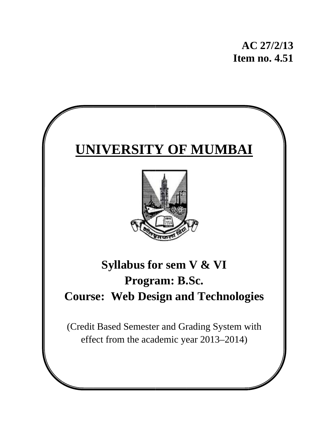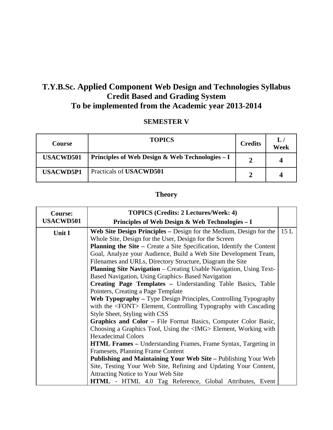# **T.Y.B.Sc. Applied Component Web Design and Technologies Syllabus Credit Based and Grading System To be implemented from the Academic year 2013-2014**

### **SEMESTER V**

| <b>Course</b>    | <b>TOPICS</b>                                    | <b>Credits</b> | L/<br>Week |
|------------------|--------------------------------------------------|----------------|------------|
| <b>USACWD501</b> | Principles of Web Design & Web Technologies $-I$ |                |            |
| <b>USACWD5P1</b> | Practicals of USACWD501                          |                |            |

## **Theory**

| <b>Course:</b>   | <b>TOPICS (Credits: 2 Lectures/Week: 4)</b>                               |     |
|------------------|---------------------------------------------------------------------------|-----|
| <b>USACWD501</b> | Principles of Web Design & Web Technologies – I                           |     |
| Unit I           | Web Site Design Principles – Design for the Medium, Design for the        | 15L |
|                  | Whole Site, Design for the User, Design for the Screen                    |     |
|                  | Planning the Site - Create a Site Specification, Identify the Content     |     |
|                  | Goal, Analyze your Audience, Build a Web Site Development Team,           |     |
|                  | Filenames and URLs, Directory Structure, Diagram the Site                 |     |
|                  | <b>Planning Site Navigation</b> – Creating Usable Navigation, Using Text- |     |
|                  | Based Navigation, Using Graphics- Based Navigation                        |     |
|                  | Creating Page Templates - Understanding Table Basics, Table               |     |
|                  | Pointers, Creating a Page Template                                        |     |
|                  | <b>Web Typography</b> – Type Design Principles, Controlling Typography    |     |
|                  | with the <font> Element, Controlling Typography with Cascading</font>     |     |
|                  | Style Sheet, Styling with CSS                                             |     |
|                  | <b>Graphics and Color – File Format Basics, Computer Color Basic,</b>     |     |
|                  | Choosing a Graphics Tool, Using the <img/> Element, Working with          |     |
|                  | <b>Hexadecimal Colors</b>                                                 |     |
|                  | <b>HTML Frames</b> – Understanding Frames, Frame Syntax, Targeting in     |     |
|                  | Framesets, Planning Frame Content                                         |     |
|                  | <b>Publishing and Maintaining Your Web Site – Publishing Your Web</b>     |     |
|                  | Site, Testing Your Web Site, Refining and Updating Your Content,          |     |
|                  | Attracting Notice to Your Web Site                                        |     |
|                  | <b>HTML</b> - HTML 4.0 Tag Reference, Global Attributes, Event            |     |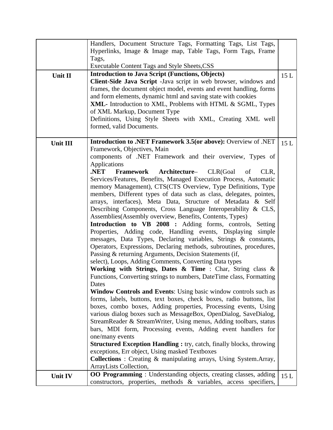|          | Handlers, Document Structure Tags, Formatting Tags, List Tags,                                                                          |     |
|----------|-----------------------------------------------------------------------------------------------------------------------------------------|-----|
|          | Hyperlinks, Image & Image map, Table Tags, Form Tags, Frame                                                                             |     |
|          | Tags,                                                                                                                                   |     |
|          | Executable Content Tags and Style Sheets, CSS                                                                                           |     |
| Unit II  | <b>Introduction to Java Script (Functions, Objects)</b>                                                                                 | 15L |
|          | Client-Side Java Script - Java script in web browser, windows and                                                                       |     |
|          | frames, the document object model, events and event handling, forms                                                                     |     |
|          | and form elements, dynamic html and saving state with cookies                                                                           |     |
|          | XML- Introduction to XML, Problems with HTML & SGML, Types                                                                              |     |
|          | of XML Markup, Document Type                                                                                                            |     |
|          | Definitions, Using Style Sheets with XML, Creating XML well                                                                             |     |
|          | formed, valid Documents.                                                                                                                |     |
|          |                                                                                                                                         |     |
| Unit III | <b>Introduction to .NET Framework 3.5(or above):</b> Overview of .NET<br>Framework, Objectives, Main                                    | 15L |
|          | components of .NET Framework and their overview, Types of                                                                               |     |
|          | Applications                                                                                                                            |     |
|          | .NET<br><b>Framework Architecture-</b> CLR(Goal of<br>CLR,                                                                              |     |
|          | Services/Features, Benefits, Managed Execution Process, Automatic                                                                       |     |
|          | memory Management), CTS(CTS Overview, Type Definitions, Type                                                                            |     |
|          | members, Different types of data such as class, delegates, pointes,                                                                     |     |
|          | arrays, interfaces), Meta Data, Structure of Metadata & Self                                                                            |     |
|          | Describing Components, Cross Language Interoperability & CLS,                                                                           |     |
|          | Assemblies (Assembly overview, Benefits, Contents, Types)                                                                               |     |
|          | <b>Introduction to VB 2008 :</b> Adding forms, controls, Setting                                                                        |     |
|          | Properties, Adding code, Handling events, Displaying simple                                                                             |     |
|          | messages, Data Types, Declaring variables, Strings & constants,                                                                         |     |
|          | Operators, Expressions, Declaring methods, subroutines, procedures,                                                                     |     |
|          | Passing & returning Arguments, Decision Statements (if,                                                                                 |     |
|          | select), Loops, Adding Comments, Converting Data types                                                                                  |     |
|          | Working with Strings, Dates & Time : Char, String class $\&$                                                                            |     |
|          | Functions, Converting strings to numbers, DateTime class, Formatting                                                                    |     |
|          | Dates                                                                                                                                   |     |
|          | <b>Window Controls and Events:</b> Using basic window controls such as                                                                  |     |
|          | forms, labels, buttons, text boxes, check boxes, radio buttons, list<br>boxes, combo boxes, Adding properties, Processing events, Using |     |
|          | various dialog boxes such as MessageBox, OpenDialog, SaveDialog,                                                                        |     |
|          | StreamReader & StreamWriter, Using menus, Adding toolbars, status                                                                       |     |
|          | bars, MDI form, Processing events, Adding event handlers for                                                                            |     |
|          | one/many events                                                                                                                         |     |
|          | <b>Structured Exception Handling : try, catch, finally blocks, throwing</b>                                                             |     |
|          | exceptions, Err object, Using masked Textboxes                                                                                          |     |
|          | <b>Collections</b> : Creating & manipulating arrays, Using System.Array,                                                                |     |
|          | ArrayLists Collection,                                                                                                                  |     |
| Unit IV  | <b>OO Programming</b> : Understanding objects, creating classes, adding                                                                 | 15L |
|          | constructors, properties, methods & variables, access specifiers,                                                                       |     |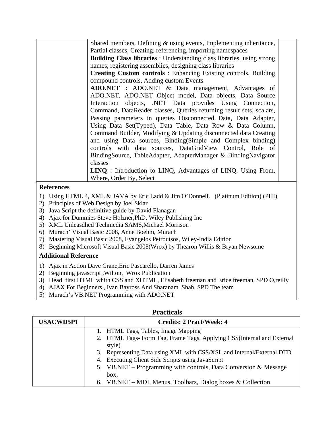| Shared members, Defining & using events, Implementing inheritance,<br>Partial classes, Creating, referencing, importing namespaces<br><b>Building Class libraries</b> : Understanding class libraries, using strong<br>names, registering assemblies, designing class libraries<br><b>Creating Custom controls:</b> Enhancing Existing controls, Building<br>compound controls, Adding custom Events<br>ADO.NET : ADO.NET & Data management, Advantages of<br>ADO.NET, ADO.NET Object model, Data objects, Data Source<br>Interaction objects, .NET Data provides Using Connection,<br>Command, DataReader classes, Queries returning result sets, scalars,<br>Passing parameters in queries Disconnected Data, Data Adapter,<br>Using Data Set(Typed), Data Table, Data Row & Data Column,<br>Command Builder, Modifying & Updating disconnected data Creating<br>and using Data sources, Binding(Simple and Complex binding)<br>controls with data sources, DataGridView Control, Role of<br>BindingSource, TableAdapter, AdapterManager & BindingNavigator<br>classes<br><b>LINQ</b> : Introduction to LINQ, Advantages of LINQ, Using From,<br>Where, Order By, Select |  |  |
|----------------------------------------------------------------------------------------------------------------------------------------------------------------------------------------------------------------------------------------------------------------------------------------------------------------------------------------------------------------------------------------------------------------------------------------------------------------------------------------------------------------------------------------------------------------------------------------------------------------------------------------------------------------------------------------------------------------------------------------------------------------------------------------------------------------------------------------------------------------------------------------------------------------------------------------------------------------------------------------------------------------------------------------------------------------------------------------------------------------------------------------------------------------------------|--|--|
|                                                                                                                                                                                                                                                                                                                                                                                                                                                                                                                                                                                                                                                                                                                                                                                                                                                                                                                                                                                                                                                                                                                                                                            |  |  |
|                                                                                                                                                                                                                                                                                                                                                                                                                                                                                                                                                                                                                                                                                                                                                                                                                                                                                                                                                                                                                                                                                                                                                                            |  |  |
|                                                                                                                                                                                                                                                                                                                                                                                                                                                                                                                                                                                                                                                                                                                                                                                                                                                                                                                                                                                                                                                                                                                                                                            |  |  |
|                                                                                                                                                                                                                                                                                                                                                                                                                                                                                                                                                                                                                                                                                                                                                                                                                                                                                                                                                                                                                                                                                                                                                                            |  |  |
|                                                                                                                                                                                                                                                                                                                                                                                                                                                                                                                                                                                                                                                                                                                                                                                                                                                                                                                                                                                                                                                                                                                                                                            |  |  |
|                                                                                                                                                                                                                                                                                                                                                                                                                                                                                                                                                                                                                                                                                                                                                                                                                                                                                                                                                                                                                                                                                                                                                                            |  |  |
|                                                                                                                                                                                                                                                                                                                                                                                                                                                                                                                                                                                                                                                                                                                                                                                                                                                                                                                                                                                                                                                                                                                                                                            |  |  |
|                                                                                                                                                                                                                                                                                                                                                                                                                                                                                                                                                                                                                                                                                                                                                                                                                                                                                                                                                                                                                                                                                                                                                                            |  |  |
|                                                                                                                                                                                                                                                                                                                                                                                                                                                                                                                                                                                                                                                                                                                                                                                                                                                                                                                                                                                                                                                                                                                                                                            |  |  |
|                                                                                                                                                                                                                                                                                                                                                                                                                                                                                                                                                                                                                                                                                                                                                                                                                                                                                                                                                                                                                                                                                                                                                                            |  |  |
|                                                                                                                                                                                                                                                                                                                                                                                                                                                                                                                                                                                                                                                                                                                                                                                                                                                                                                                                                                                                                                                                                                                                                                            |  |  |
|                                                                                                                                                                                                                                                                                                                                                                                                                                                                                                                                                                                                                                                                                                                                                                                                                                                                                                                                                                                                                                                                                                                                                                            |  |  |
|                                                                                                                                                                                                                                                                                                                                                                                                                                                                                                                                                                                                                                                                                                                                                                                                                                                                                                                                                                                                                                                                                                                                                                            |  |  |
|                                                                                                                                                                                                                                                                                                                                                                                                                                                                                                                                                                                                                                                                                                                                                                                                                                                                                                                                                                                                                                                                                                                                                                            |  |  |
|                                                                                                                                                                                                                                                                                                                                                                                                                                                                                                                                                                                                                                                                                                                                                                                                                                                                                                                                                                                                                                                                                                                                                                            |  |  |
|                                                                                                                                                                                                                                                                                                                                                                                                                                                                                                                                                                                                                                                                                                                                                                                                                                                                                                                                                                                                                                                                                                                                                                            |  |  |
|                                                                                                                                                                                                                                                                                                                                                                                                                                                                                                                                                                                                                                                                                                                                                                                                                                                                                                                                                                                                                                                                                                                                                                            |  |  |
|                                                                                                                                                                                                                                                                                                                                                                                                                                                                                                                                                                                                                                                                                                                                                                                                                                                                                                                                                                                                                                                                                                                                                                            |  |  |
|                                                                                                                                                                                                                                                                                                                                                                                                                                                                                                                                                                                                                                                                                                                                                                                                                                                                                                                                                                                                                                                                                                                                                                            |  |  |
|                                                                                                                                                                                                                                                                                                                                                                                                                                                                                                                                                                                                                                                                                                                                                                                                                                                                                                                                                                                                                                                                                                                                                                            |  |  |

### **References**

- 1) Using HTML 4, XML & JAVA by Eric Ladd & Jim O'Donnell. (Platinum Edition) (PHI)
- 2) Principles of Web Design by Joel Sklar
- 3) Java Script the definitive guide by David Flanagan
- 4) Ajax for Dummies Steve Holzner,PhD, Wiley Publishing Inc
- 5) XML Unleasdhed Techmedia SAMS,Michael Morrison
- 6) Murach' Visual Basic 2008, Anne Boehm, Murach
- 7) Mastering Visual Basic 2008, Evangelos Petroutsos, Wiley-India Edition
- 8) Beginning Microsoft Visual Basic 2008(Wrox) by Thearon Willis & Bryan Newsome

### **Additional Reference**

- 1) Ajax in Action Dave Crane,Eric Pascarello, Darren James
- 2) Beginning javascript ,Wilton, Wrox Publication
- 3) Head first HTML whith CSS and XHTML, Elisabeth freeman and Erice freeman, SPD O,reilly
- 4) AJAX For Beginners , Ivan Bayross And Sharanam Shah, SPD The team
- 5) Murach's VB.NET Programming with ADO.NET

| т гасысат        |                                                                        |  |
|------------------|------------------------------------------------------------------------|--|
| <b>USACWD5P1</b> | <b>Credits: 2 Pract/Week: 4</b>                                        |  |
|                  | 1. HTML Tags, Tables, Image Mapping                                    |  |
|                  | 2. HTML Tags- Form Tag, Frame Tags, Applying CSS(Internal and External |  |
|                  | style)                                                                 |  |
|                  | 3. Representing Data using XML with CSS/XSL and Internal/External DTD  |  |
|                  | 4. Executing Client Side Scripts using JavaScript                      |  |
|                  | 5. VB.NET – Programming with controls, Data Conversion & Message       |  |
|                  | box,                                                                   |  |
|                  | 6. VB.NET – MDI, Menus, Toolbars, Dialog boxes & Collection            |  |

#### **Practicals**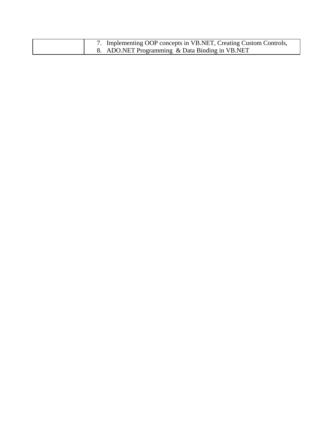| 7. Implementing OOP concepts in VB.NET, Creating Custom Controls, |
|-------------------------------------------------------------------|
| 8. ADO.NET Programming & Data Binding in VB.NET                   |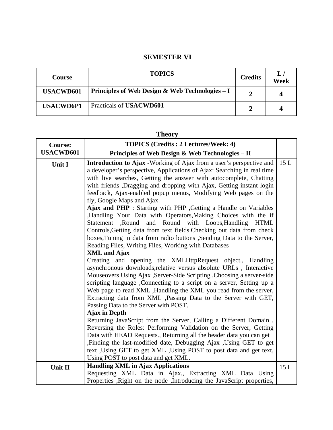### **SEMESTER VI**

| <b>Course</b>    | <b>TOPICS</b>                                    | <b>Credits</b> | L/<br>Week |
|------------------|--------------------------------------------------|----------------|------------|
| <b>USACWD601</b> | Principles of Web Design & Web Technologies $-I$ |                | 4          |
| <b>USACWD6P1</b> | Practicals of USACWD601                          |                |            |

#### **Theory**

| <b>Course:</b>   | <b>TOPICS (Credits : 2 Lectures/Week: 4)</b>                                                                                                                                                                                                                                                                                                                                                                                                                                                                                                                                                                                                                                                                                                                                                                                                |     |
|------------------|---------------------------------------------------------------------------------------------------------------------------------------------------------------------------------------------------------------------------------------------------------------------------------------------------------------------------------------------------------------------------------------------------------------------------------------------------------------------------------------------------------------------------------------------------------------------------------------------------------------------------------------------------------------------------------------------------------------------------------------------------------------------------------------------------------------------------------------------|-----|
| <b>USACWD601</b> | Principles of Web Design & Web Technologies - II                                                                                                                                                                                                                                                                                                                                                                                                                                                                                                                                                                                                                                                                                                                                                                                            |     |
| Unit I           | Introduction to Ajax -Working of Ajax from a user's perspective and<br>a developer's perspective, Applications of Ajax: Searching in real time<br>with live searches, Getting the answer with autocomplete, Chatting<br>with friends , Dragging and dropping with Ajax, Getting instant login<br>feedback, Ajax-enabled popup menus, Modifying Web pages on the<br>fly, Google Maps and Ajax.<br>Ajax and PHP : Starting with PHP , Getting a Handle on Variables<br>,Handling Your Data with Operators,Making Choices with the if<br>and Round with Loops, Handling<br>Statement<br>,Round<br><b>HTML</b><br>Controls, Getting data from text fields. Checking out data from check<br>boxes, Tuning in data from radio buttons, Sending Data to the Server,<br>Reading Files, Writing Files, Working with Databases<br><b>XML</b> and Ajax | 15L |
|                  | Creating and opening the XMLHttpRequest object., Handling<br>asynchronous downloads, relative versus absolute URLs, Interactive<br>Mouseovers Using Ajax , Server-Side Scripting , Choosing a server-side<br>scripting language , Connecting to a script on a server, Setting up a<br>Web page to read XML , Handling the XML you read from the server,<br>Extracting data from XML ,Passing Data to the Server with GET,<br>Passing Data to the Server with POST.<br><b>Ajax in Depth</b><br>Returning JavaScript from the Server, Calling a Different Domain,                                                                                                                                                                                                                                                                             |     |
|                  | Reversing the Roles: Performing Validation on the Server, Getting<br>Data with HEAD Requests., Returning all the header data you can get<br>,Finding the last-modified date, Debugging Ajax , Using GET to get<br>text, Using GET to get XML, Using POST to post data and get text,<br>Using POST to post data and get XML.                                                                                                                                                                                                                                                                                                                                                                                                                                                                                                                 |     |
| <b>Unit II</b>   | <b>Handling XML in Ajax Applications</b>                                                                                                                                                                                                                                                                                                                                                                                                                                                                                                                                                                                                                                                                                                                                                                                                    | 15L |
|                  | Requesting XML Data in Ajax., Extracting XML Data Using<br>Properties , Right on the node , Introducing the JavaScript properties,                                                                                                                                                                                                                                                                                                                                                                                                                                                                                                                                                                                                                                                                                                          |     |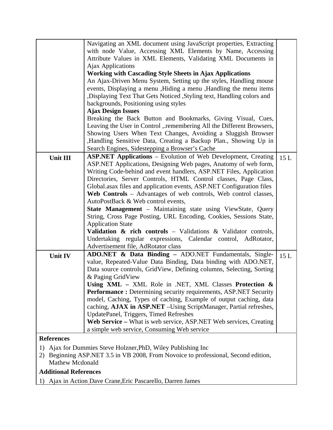|                                                                                 | Navigating an XML document using JavaScript properties, Extracting                                                       |     |
|---------------------------------------------------------------------------------|--------------------------------------------------------------------------------------------------------------------------|-----|
|                                                                                 | with node Value, Accessing XML Elements by Name, Accessing                                                               |     |
|                                                                                 | Attribute Values in XML Elements, Validating XML Documents in                                                            |     |
|                                                                                 | Ajax Applications                                                                                                        |     |
|                                                                                 | <b>Working with Cascading Style Sheets in Ajax Applications</b>                                                          |     |
|                                                                                 | An Ajax-Driven Menu System, Setting up the styles, Handling mouse                                                        |     |
|                                                                                 | events, Displaying a menu , Hiding a menu , Handling the menu items                                                      |     |
|                                                                                 | Displaying Text That Gets Noticed , Styling text, Handling colors and                                                    |     |
|                                                                                 | backgrounds, Positioning using styles                                                                                    |     |
|                                                                                 | <b>Ajax Design Issues</b>                                                                                                |     |
|                                                                                 | Breaking the Back Button and Bookmarks, Giving Visual, Cues,                                                             |     |
|                                                                                 | Leaving the User in Control , remembering All the Different Browsers,                                                    |     |
|                                                                                 | Showing Users When Text Changes, Avoiding a Sluggish Browser                                                             |     |
|                                                                                 | ,Handling Sensitive Data, Creating a Backup Plan., Showing Up in                                                         |     |
|                                                                                 | Search Engines, Sidestepping a Browser's Cache                                                                           |     |
| Unit III                                                                        | <b>ASP.NET Applications</b> – Evolution of Web Development, Creating                                                     | 15L |
|                                                                                 | ASP.NET Applications, Designing Web pages, Anatomy of web form,                                                          |     |
|                                                                                 | Writing Code-behind and event handlers, ASP.NET Files, Application                                                       |     |
|                                                                                 | Directories, Server Controls, HTML Control classes, Page Class,                                                          |     |
|                                                                                 | Global asax files and application events, ASP.NET Configuration files                                                    |     |
|                                                                                 | Web Controls – Advantages of web controls, Web control classes,                                                          |     |
|                                                                                 | AutoPostBack & Web control events,                                                                                       |     |
|                                                                                 | <b>State Management</b> – Maintaining state using ViewState, Query                                                       |     |
|                                                                                 | String, Cross Page Posting, URL Encoding, Cookies, Sessions State,                                                       |     |
|                                                                                 | <b>Application State</b>                                                                                                 |     |
|                                                                                 | <b>Validation &amp; rich controls</b> – Validations & Validator controls,                                                |     |
|                                                                                 | Undertaking regular expressions, Calendar control, AdRotator,<br>Advertisement file, AdRotator class                     |     |
|                                                                                 |                                                                                                                          |     |
| Unit IV                                                                         | ADO.NET & Data Binding - ADO.NET Fundamentals, Single-<br>value, Repeated-Value Data Binding, Data binding with ADO.NET, | 15L |
|                                                                                 | Data source controls, GridView, Defining columns, Selecting, Sorting                                                     |     |
|                                                                                 | & Paging GridView                                                                                                        |     |
|                                                                                 | Using XML - XML Role in .NET, XML Classes Protection &                                                                   |     |
|                                                                                 | <b>Performance:</b> Determining security requirements, ASP.NET Security                                                  |     |
|                                                                                 | model, Caching, Types of caching, Example of output caching, data                                                        |     |
|                                                                                 | caching, AJAX in ASP.NET - Using ScriptManager, Partial refreshes,                                                       |     |
|                                                                                 | UpdatePanel, Triggers, Timed Refreshes                                                                                   |     |
|                                                                                 | Web Service – What is web service, ASP.NET Web services, Creating                                                        |     |
|                                                                                 | a simple web service, Consuming Web service                                                                              |     |
| <b>References</b>                                                               |                                                                                                                          |     |
|                                                                                 | 1) Ajax for Dummies Steve Holzner, PhD, Wiley Publishing Inc                                                             |     |
| 2) Beginning ASD NET 3.5 in VR 2008 From Novoice to professional Second edition |                                                                                                                          |     |

2) Beginning ASP.NET 3.5 in VB 2008, From Novoice to professional, Second edition, Mathew Mcdonald

# **Additional References**

1) Ajax in Action Dave Crane,Eric Pascarello, Darren James